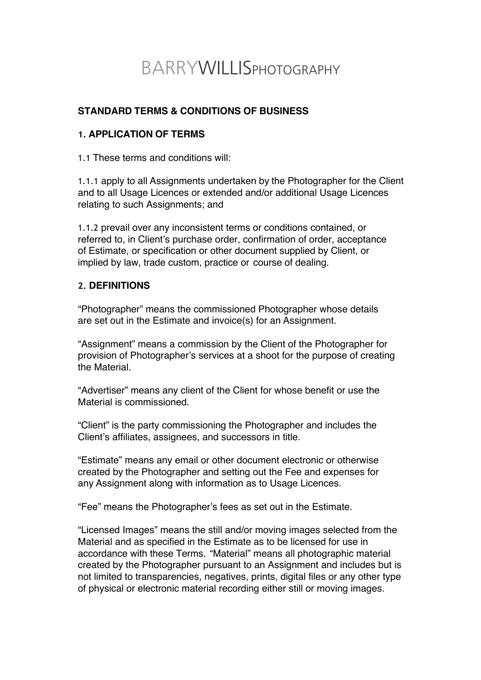# BARRYWILLISPHOTOGRAPHY

# **STANDARD TERMS & CONDITIONS OF BUSINESS**

## **1. APPLICATION OF TERMS**

1.1 These terms and conditions will:

1.1.1 apply to all Assignments undertaken by the Photographer for the Client and to all Usage Licences or extended and/or additional Usage Licences relating to such Assignments; and

1.1.2 prevail over any inconsistent terms or conditions contained, or referred to, in Client's purchase order, confirmation of order, acceptance of Estimate, or specification or other document supplied by Client, or implied by law, trade custom, practice or course of dealing.

### **2. DEFINITIONS**

"Photographer" means the commissioned Photographer whose details are set out in the Estimate and invoice(s) for an Assignment.

"Assignment" means a commission by the Client of the Photographer for provision of Photographer's services at a shoot for the purpose of creating the Material.

"Advertiser" means any client of the Client for whose benefit or use the Material is commissioned.

"Client" is the party commissioning the Photographer and includes the Client's affiliates, assignees, and successors in title.

"Estimate" means any email or other document electronic or otherwise created by the Photographer and setting out the Fee and expenses for any Assignment along with information as to Usage Licences.

"Fee" means the Photographer's fees as set out in the Estimate.

"Licensed Images" means the still and/or moving images selected from the Material and as specified in the Estimate as to be licensed for use in accordance with these Terms. "Material" means all photographic material created by the Photographer pursuant to an Assignment and includes but is not limited to transparencies, negatives, prints, digital files or any other type of physical or electronic material recording either still or moving images.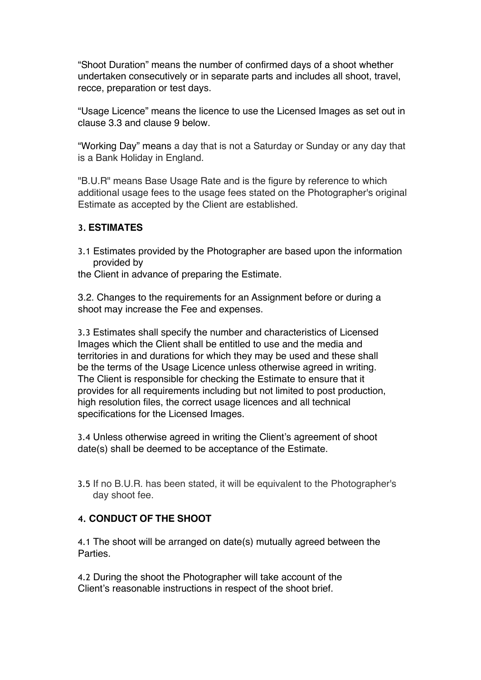"Shoot Duration" means the number of confirmed days of a shoot whether undertaken consecutively or in separate parts and includes all shoot, travel, recce, preparation or test days.

"Usage Licence" means the licence to use the Licensed Images as set out in clause 3.3 and clause 9 below.

"Working Day" means a day that is not a Saturday or Sunday or any day that is a Bank Holiday in England.

"B.U.R" means Base Usage Rate and is the figure by reference to which additional usage fees to the usage fees stated on the Photographer's original Estimate as accepted by the Client are established.

## **3. ESTIMATES**

- 3.1 Estimates provided by the Photographer are based upon the information provided by
- the Client in advance of preparing the Estimate.

3.2. Changes to the requirements for an Assignment before or during a shoot may increase the Fee and expenses.

3.3 Estimates shall specify the number and characteristics of Licensed Images which the Client shall be entitled to use and the media and territories in and durations for which they may be used and these shall be the terms of the Usage Licence unless otherwise agreed in writing. The Client is responsible for checking the Estimate to ensure that it provides for all requirements including but not limited to post production, high resolution files, the correct usage licences and all technical specifications for the Licensed Images.

3.4 Unless otherwise agreed in writing the Client's agreement of shoot date(s) shall be deemed to be acceptance of the Estimate.

3.5 If no B.U.R. has been stated, it will be equivalent to the Photographer's day shoot fee.

### **4. CONDUCT OF THE SHOOT**

4.1 The shoot will be arranged on date(s) mutually agreed between the Parties.

4.2 During the shoot the Photographer will take account of the Client's reasonable instructions in respect of the shoot brief.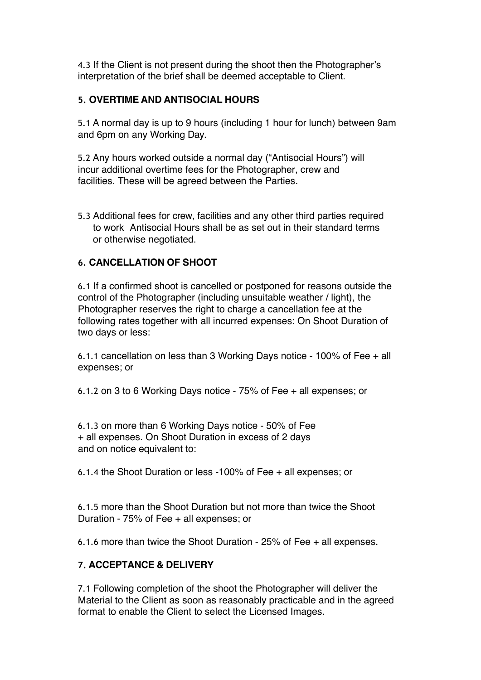4.3 If the Client is not present during the shoot then the Photographer's interpretation of the brief shall be deemed acceptable to Client.

## **5. OVERTIME AND ANTISOCIAL HOURS**

5.1 A normal day is up to 9 hours (including 1 hour for lunch) between 9am and 6pm on any Working Day.

5.2 Any hours worked outside a normal day ("Antisocial Hours") will incur additional overtime fees for the Photographer, crew and facilities. These will be agreed between the Parties.

5.3 Additional fees for crew, facilities and any other third parties required to work Antisocial Hours shall be as set out in their standard terms or otherwise negotiated.

## **6. CANCELLATION OF SHOOT**

6.1 If a confirmed shoot is cancelled or postponed for reasons outside the control of the Photographer (including unsuitable weather / light), the Photographer reserves the right to charge a cancellation fee at the following rates together with all incurred expenses: On Shoot Duration of two days or less:

6.1.1 cancellation on less than 3 Working Days notice - 100% of Fee + all expenses; or

6.1.2 on 3 to 6 Working Days notice - 75% of Fee + all expenses; or

6.1.3 on more than 6 Working Days notice - 50% of Fee + all expenses. On Shoot Duration in excess of 2 days and on notice equivalent to:

6.1.4 the Shoot Duration or less -100% of Fee + all expenses; or

6.1.5 more than the Shoot Duration but not more than twice the Shoot Duration - 75% of Fee + all expenses; or

6.1.6 more than twice the Shoot Duration - 25% of Fee + all expenses.

# **7. ACCEPTANCE & DELIVERY**

7.1 Following completion of the shoot the Photographer will deliver the Material to the Client as soon as reasonably practicable and in the agreed format to enable the Client to select the Licensed Images.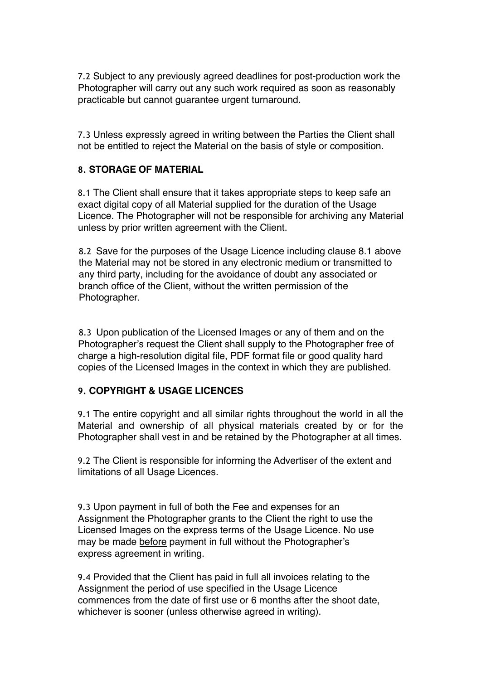7.2 Subject to any previously agreed deadlines for post-production work the Photographer will carry out any such work required as soon as reasonably practicable but cannot guarantee urgent turnaround.

7.3 Unless expressly agreed in writing between the Parties the Client shall not be entitled to reject the Material on the basis of style or composition.

## **8. STORAGE OF MATERIAL**

8.1 The Client shall ensure that it takes appropriate steps to keep safe an exact digital copy of all Material supplied for the duration of the Usage Licence. The Photographer will not be responsible for archiving any Material unless by prior written agreement with the Client.

8.2 Save for the purposes of the Usage Licence including clause 8.1 above the Material may not be stored in any electronic medium or transmitted to any third party, including for the avoidance of doubt any associated or branch office of the Client, without the written permission of the Photographer.

8.3 Upon publication of the Licensed Images or any of them and on the Photographer's request the Client shall supply to the Photographer free of charge a high-resolution digital file, PDF format file or good quality hard copies of the Licensed Images in the context in which they are published.

# **9. COPYRIGHT & USAGE LICENCES**

9.1 The entire copyright and all similar rights throughout the world in all the Material and ownership of all physical materials created by or for the Photographer shall vest in and be retained by the Photographer at all times.

9.2 The Client is responsible for informing the Advertiser of the extent and limitations of all Usage Licences.

9.3 Upon payment in full of both the Fee and expenses for an Assignment the Photographer grants to the Client the right to use the Licensed Images on the express terms of the Usage Licence. No use may be made before payment in full without the Photographer's express agreement in writing.

9.4 Provided that the Client has paid in full all invoices relating to the Assignment the period of use specified in the Usage Licence commences from the date of first use or 6 months after the shoot date, whichever is sooner (unless otherwise agreed in writing).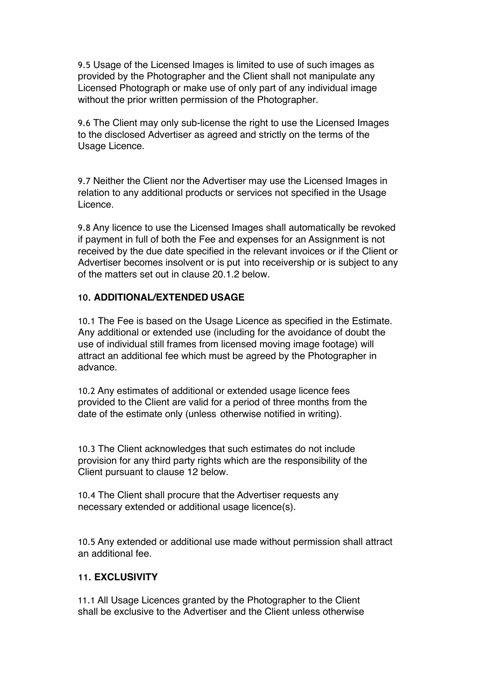9.5 Usage of the Licensed Images is limited to use of such images as provided by the Photographer and the Client shall not manipulate any Licensed Photograph or make use of only part of any individual image without the prior written permission of the Photographer.

9.6 The Client may only sub-license the right to use the Licensed Images to the disclosed Advertiser as agreed and strictly on the terms of the Usage Licence.

9.7 Neither the Client nor the Advertiser may use the Licensed Images in relation to any additional products or services not specified in the Usage Licence.

9.8 Any licence to use the Licensed Images shall automatically be revoked if payment in full of both the Fee and expenses for an Assignment is not received by the due date specified in the relevant invoices or if the Client or Advertiser becomes insolvent or is put into receivership or is subject to any of the matters set out in clause 20.1.2 below.

### **10. ADDITIONAL/EXTENDED USAGE**

10.1 The Fee is based on the Usage Licence as specified in the Estimate. Any additional or extended use (including for the avoidance of doubt the use of individual still frames from licensed moving image footage) will attract an additional fee which must be agreed by the Photographer in advance.

10.2 Any estimates of additional or extended usage licence fees provided to the Client are valid for a period of three months from the date of the estimate only (unless otherwise notified in writing).

10.3 The Client acknowledges that such estimates do not include provision for any third party rights which are the responsibility of the Client pursuant to clause 12 below.

10.4 The Client shall procure that the Advertiser requests any necessary extended or additional usage licence(s).

10.5 Any extended or additional use made without permission shall attract an additional fee.

#### **11. EXCLUSIVITY**

11.1 All Usage Licences granted by the Photographer to the Client shall be exclusive to the Advertiser and the Client unless otherwise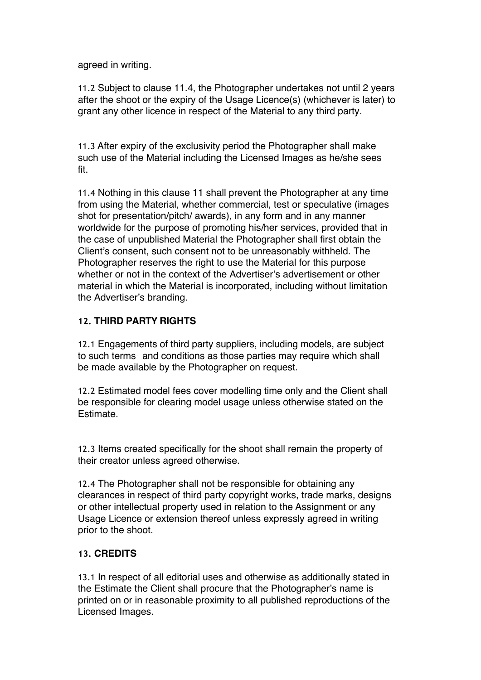agreed in writing.

11.2 Subject to clause 11.4, the Photographer undertakes not until 2 years after the shoot or the expiry of the Usage Licence(s) (whichever is later) to grant any other licence in respect of the Material to any third party.

11.3 After expiry of the exclusivity period the Photographer shall make such use of the Material including the Licensed Images as he/she sees fit.

11.4 Nothing in this clause 11 shall prevent the Photographer at any time from using the Material, whether commercial, test or speculative (images shot for presentation/pitch/ awards), in any form and in any manner worldwide for the purpose of promoting his/her services, provided that in the case of unpublished Material the Photographer shall first obtain the Client's consent, such consent not to be unreasonably withheld. The Photographer reserves the right to use the Material for this purpose whether or not in the context of the Advertiser's advertisement or other material in which the Material is incorporated, including without limitation the Advertiser's branding.

# **12. THIRD PARTY RIGHTS**

12.1 Engagements of third party suppliers, including models, are subject to such terms and conditions as those parties may require which shall be made available by the Photographer on request.

12.2 Estimated model fees cover modelling time only and the Client shall be responsible for clearing model usage unless otherwise stated on the Estimate.

12.3 Items created specifically for the shoot shall remain the property of their creator unless agreed otherwise.

12.4 The Photographer shall not be responsible for obtaining any clearances in respect of third party copyright works, trade marks, designs or other intellectual property used in relation to the Assignment or any Usage Licence or extension thereof unless expressly agreed in writing prior to the shoot.

# **13. CREDITS**

13.1 In respect of all editorial uses and otherwise as additionally stated in the Estimate the Client shall procure that the Photographer's name is printed on or in reasonable proximity to all published reproductions of the Licensed Images.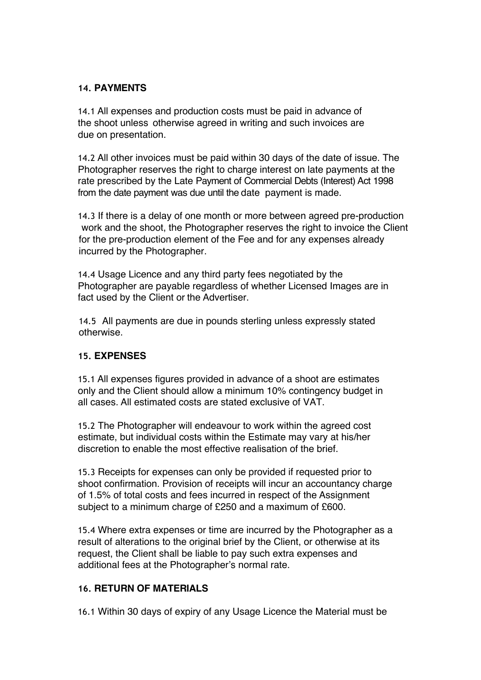## **14. PAYMENTS**

14.1 All expenses and production costs must be paid in advance of the shoot unless otherwise agreed in writing and such invoices are due on presentation.

14.2 All other invoices must be paid within 30 days of the date of issue. The Photographer reserves the right to charge interest on late payments at the rate prescribed by the Late Payment of Commercial Debts (Interest) Act 1998 from the date payment was due until the date payment is made.

14.3 If there is a delay of one month or more between agreed pre-production work and the shoot, the Photographer reserves the right to invoice the Client for the pre-production element of the Fee and for any expenses already incurred by the Photographer.

14.4 Usage Licence and any third party fees negotiated by the Photographer are payable regardless of whether Licensed Images are in fact used by the Client or the Advertiser.

14.5 All payments are due in pounds sterling unless expressly stated otherwise.

# **15. EXPENSES**

15.1 All expenses figures provided in advance of a shoot are estimates only and the Client should allow a minimum 10% contingency budget in all cases. All estimated costs are stated exclusive of VAT.

15.2 The Photographer will endeavour to work within the agreed cost estimate, but individual costs within the Estimate may vary at his/her discretion to enable the most effective realisation of the brief.

15.3 Receipts for expenses can only be provided if requested prior to shoot confirmation. Provision of receipts will incur an accountancy charge of 1.5% of total costs and fees incurred in respect of the Assignment subject to a minimum charge of £250 and a maximum of £600.

15.4 Where extra expenses or time are incurred by the Photographer as a result of alterations to the original brief by the Client, or otherwise at its request, the Client shall be liable to pay such extra expenses and additional fees at the Photographer's normal rate.

# **16. RETURN OF MATERIALS**

16.1 Within 30 days of expiry of any Usage Licence the Material must be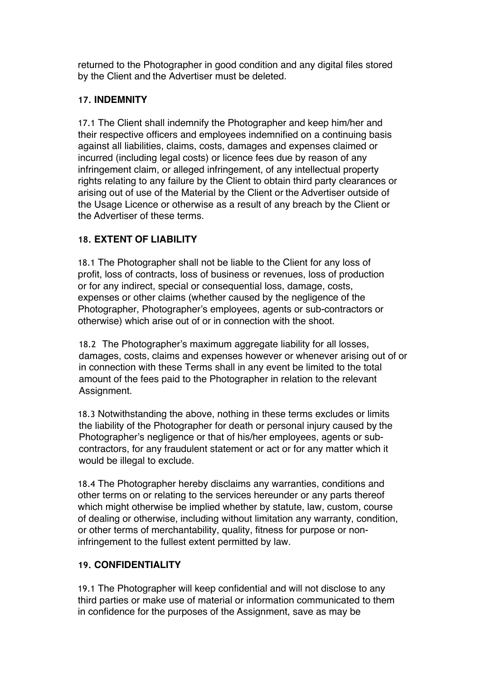returned to the Photographer in good condition and any digital files stored by the Client and the Advertiser must be deleted.

# **17. INDEMNITY**

17.1 The Client shall indemnify the Photographer and keep him/her and their respective officers and employees indemnified on a continuing basis against all liabilities, claims, costs, damages and expenses claimed or incurred (including legal costs) or licence fees due by reason of any infringement claim, or alleged infringement, of any intellectual property rights relating to any failure by the Client to obtain third party clearances or arising out of use of the Material by the Client or the Advertiser outside of the Usage Licence or otherwise as a result of any breach by the Client or the Advertiser of these terms.

# **18. EXTENT OF LIABILITY**

18.1 The Photographer shall not be liable to the Client for any loss of profit, loss of contracts, loss of business or revenues, loss of production or for any indirect, special or consequential loss, damage, costs, expenses or other claims (whether caused by the negligence of the Photographer, Photographer's employees, agents or sub-contractors or otherwise) which arise out of or in connection with the shoot.

18.2 The Photographer's maximum aggregate liability for all losses, damages, costs, claims and expenses however or whenever arising out of or in connection with these Terms shall in any event be limited to the total amount of the fees paid to the Photographer in relation to the relevant Assignment.

18.3 Notwithstanding the above, nothing in these terms excludes or limits the liability of the Photographer for death or personal injury caused by the Photographer's negligence or that of his/her employees, agents or subcontractors, for any fraudulent statement or act or for any matter which it would be illegal to exclude.

18.4 The Photographer hereby disclaims any warranties, conditions and other terms on or relating to the services hereunder or any parts thereof which might otherwise be implied whether by statute, law, custom, course of dealing or otherwise, including without limitation any warranty, condition, or other terms of merchantability, quality, fitness for purpose or noninfringement to the fullest extent permitted by law.

# **19. CONFIDENTIALITY**

19.1 The Photographer will keep confidential and will not disclose to any third parties or make use of material or information communicated to them in confidence for the purposes of the Assignment, save as may be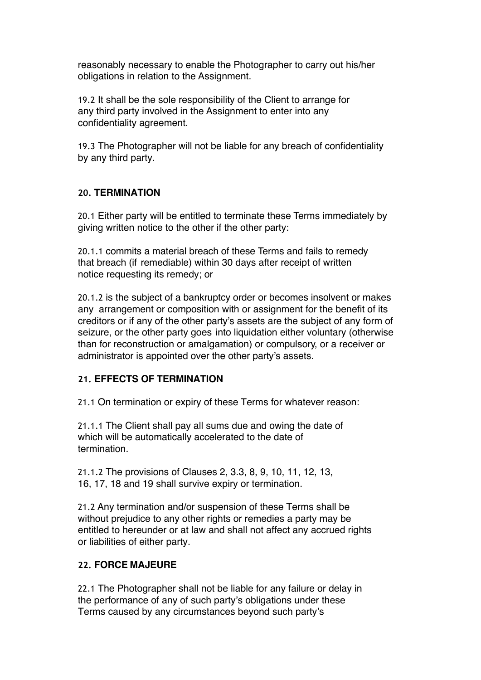reasonably necessary to enable the Photographer to carry out his/her obligations in relation to the Assignment.

19.2 It shall be the sole responsibility of the Client to arrange for any third party involved in the Assignment to enter into any confidentiality agreement.

19.3 The Photographer will not be liable for any breach of confidentiality by any third party.

# **20. TERMINATION**

20.1 Either party will be entitled to terminate these Terms immediately by giving written notice to the other if the other party:

20.1.1 commits a material breach of these Terms and fails to remedy that breach (if remediable) within 30 days after receipt of written notice requesting its remedy; or

20.1.2 is the subject of a bankruptcy order or becomes insolvent or makes any arrangement or composition with or assignment for the benefit of its creditors or if any of the other party's assets are the subject of any form of seizure, or the other party goes into liquidation either voluntary (otherwise than for reconstruction or amalgamation) or compulsory, or a receiver or administrator is appointed over the other party's assets.

# **21. EFFECTS OF TERMINATION**

21.1 On termination or expiry of these Terms for whatever reason:

21.1.1 The Client shall pay all sums due and owing the date of which will be automatically accelerated to the date of termination.

21.1.2 The provisions of Clauses 2, 3.3, 8, 9, 10, 11, 12, 13, 16, 17, 18 and 19 shall survive expiry or termination.

21.2 Any termination and/or suspension of these Terms shall be without prejudice to any other rights or remedies a party may be entitled to hereunder or at law and shall not affect any accrued rights or liabilities of either party.

### **22. FORCE MAJEURE**

22.1 The Photographer shall not be liable for any failure or delay in the performance of any of such party's obligations under these Terms caused by any circumstances beyond such party's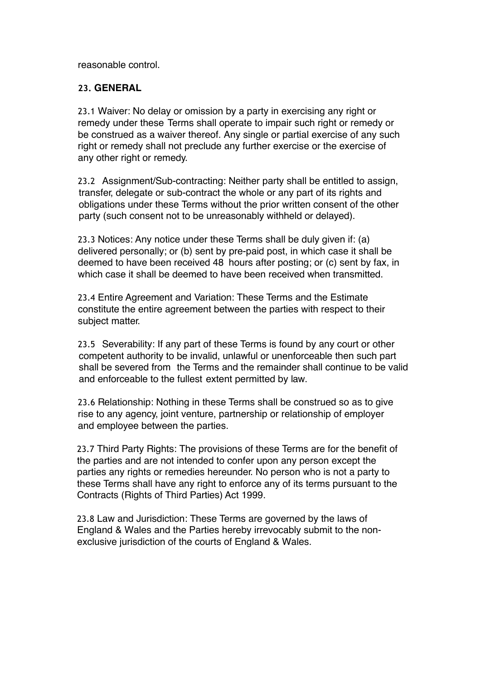reasonable control.

## **23. GENERAL**

23.1 Waiver: No delay or omission by a party in exercising any right or remedy under these Terms shall operate to impair such right or remedy or be construed as a waiver thereof. Any single or partial exercise of any such right or remedy shall not preclude any further exercise or the exercise of any other right or remedy.

23.2 Assignment/Sub-contracting: Neither party shall be entitled to assign, transfer, delegate or sub-contract the whole or any part of its rights and obligations under these Terms without the prior written consent of the other party (such consent not to be unreasonably withheld or delayed).

23.3 Notices: Any notice under these Terms shall be duly given if: (a) delivered personally; or (b) sent by pre-paid post, in which case it shall be deemed to have been received 48 hours after posting; or (c) sent by fax, in which case it shall be deemed to have been received when transmitted.

23.4 Entire Agreement and Variation: These Terms and the Estimate constitute the entire agreement between the parties with respect to their subject matter.

23.5 Severability: If any part of these Terms is found by any court or other competent authority to be invalid, unlawful or unenforceable then such part shall be severed from the Terms and the remainder shall continue to be valid and enforceable to the fullest extent permitted by law.

23.6 Relationship: Nothing in these Terms shall be construed so as to give rise to any agency, joint venture, partnership or relationship of employer and employee between the parties.

23.7 Third Party Rights: The provisions of these Terms are for the benefit of the parties and are not intended to confer upon any person except the parties any rights or remedies hereunder. No person who is not a party to these Terms shall have any right to enforce any of its terms pursuant to the Contracts (Rights of Third Parties) Act 1999.

23.8 Law and Jurisdiction: These Terms are governed by the laws of England & Wales and the Parties hereby irrevocably submit to the nonexclusive jurisdiction of the courts of England & Wales.